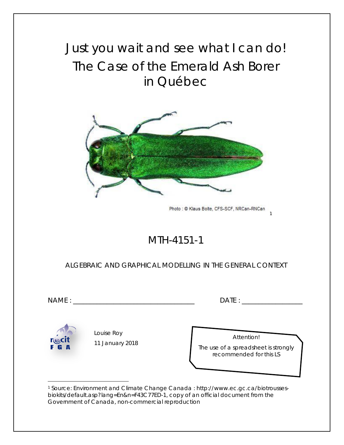# Just you wait and see what I can do! The Case of the Emerald Ash Borer in Québec



Photo: @ Klaus Bolte, CFS-SCF, NRCan-RNCan

# MTH-4151-1

# ALGEBRAIC AND GRAPHICAL MODELLING IN THE GENERAL CONTEXT

NAME : \_\_\_\_\_\_\_\_\_\_\_\_\_\_\_\_\_\_\_\_\_\_\_\_\_\_\_\_\_\_\_\_\_\_\_\_ DATE : \_\_\_\_\_\_\_\_\_\_\_\_\_\_\_\_\_\_

[1](#page-0-0)



Louise Roy 11 January 2018

Attention!

The use of a spreadsheet is strongly recommended for this LS

<span id="page-0-0"></span> <sup>1</sup> Source: Environment and Climate Change Canada : http://www.ec.gc.ca/biotroussesbiokits/default.asp?lang=En&n=F43C77ED-1, copy of an official document from the Government of Canada, non-commercial reproduction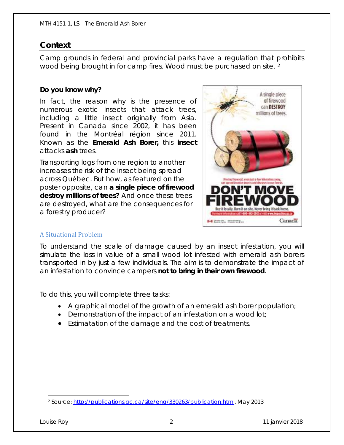# **Context**

Camp grounds in federal and provincial parks have a regulation that prohibits wood being brought in for camp fires. Wood must be purchased on site. [2](#page-1-0)

## **Do you know why?**

In fact, the reason why is the presence of numerous exotic insects that attack trees, including a little insect originally from Asia. Present in Canada since 2002, it has been found in the Montréal région since 2011. Known as the **Emerald Ash Borer,** this **insect**  attacks **ash** trees.

Transporting logs from one region to another increases the risk of the insect being spread across Québec. But how, as featured on the poster opposite, can **a single piece of firewood destroy millions of trees?** And once these trees are destroyed, what are the consequences for a forestry producer?



#### A Situational Problem

To understand the scale of damage caused by an insect infestation, you will simulate the loss in value of a small wood lot infested with emerald ash borers transported in by just a few individuals. The aim is to demonstrate the impact of an infestation to convince campers **not to bring in their own firewood**.

To do this, you will complete three tasks:

- A graphical model of the growth of an emerald ash borer population;
- Demonstration of the impact of an infestation on a wood lot;
- Estimatation of the damage and the cost of treatments.

<span id="page-1-0"></span> <sup>2</sup> Source: [http://publications.gc.ca/site/eng/330263/publication.html,](http://publications.gc.ca/site/eng/330263/publication.html) May 2013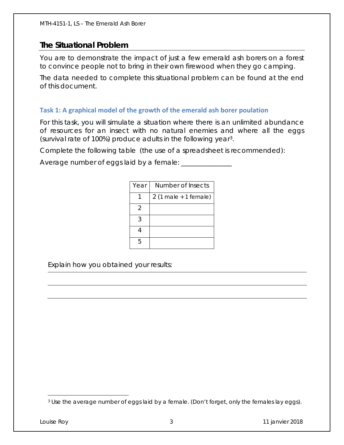# **The Situational Problem**

You are to demonstrate the impact of just a few emerald ash borers on a forest to convince people not to bring in their own firewood when they go camping.

The data needed to complete this situational problem can be found at the end of this document.

# **Task 1: A graphical model of the growth of the emerald ash borer poulation**

For this task, you will simulate a situation where there is an unlimited abundance of resources for an insect with no natural enemies and where all the eggs (survival rate of 100%) produce adults in the following year[3.](#page-2-0)

Complete the following table (the use of a spreadsheet is recommended):

Average number of eggs laid by a female: \_\_\_\_\_\_\_\_\_

| Year | Number of Insects      |
|------|------------------------|
|      | $2(1$ male + 1 female) |
| 2    |                        |
| 3    |                        |
|      |                        |
|      |                        |

Explain how you obtained your results:

<span id="page-2-0"></span><sup>&</sup>lt;sup>3</sup> Use the average number of eggs laid by a female. (Don't forget, only the females lay eggs).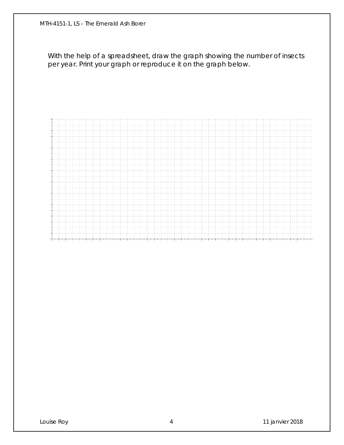With the help of a spreadsheet, draw the graph showing the number of insects per year. Print your graph or reproduce it on the graph below.

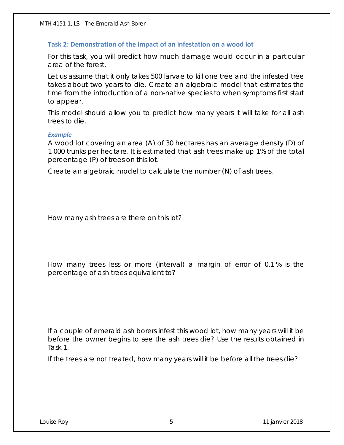#### **Task 2: Demonstration of the impact of an infestation on a wood lot**

For this task, you will predict how much damage would occur in a particular area of the forest.

Let us assume that it only takes 500 larvae to kill one tree and the infested tree takes about two years to die. Create an algebraic model that estimates the time from the introduction of a non-native species to when symptoms first start to appear.

This model should allow you to predict how many years it will take for all ash trees to die.

#### *Example*

A wood lot covering an area (A) of 30 hectares has an average density (D) of 1 000 trunks per hectare. It is estimated that ash trees make up 1% of the total percentage (P) of trees on this lot.

Create an algebraic model to calculate the number (N) of ash trees.

How many ash trees are there on this lot?

How many trees less or more (interval) a margin of error of 0.1 % is the percentage of ash trees equivalent to?

If a couple of emerald ash borers infest this wood lot, how many years will it be before the owner begins to see the ash trees die? Use the results obtained in Task 1.

If the trees are not treated, how many years will it be before all the trees die?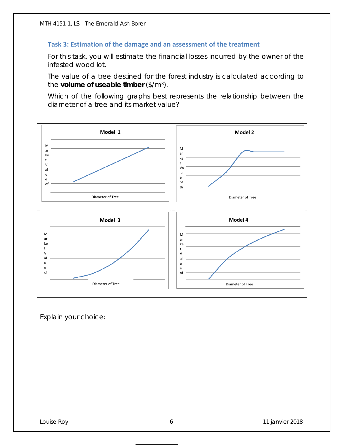#### **Task 3: Estimation of the damage and an assessment of the treatment**

For this task, you will estimate the financial losses incurred by the owner of the infested wood lot.

The value of a tree destined for the forest industry is calculated according to the **volume of useable timber** (\$/m3).

Which of the following graphs best represents the relationship between the diameter of a tree and its market value?



Explain your choice: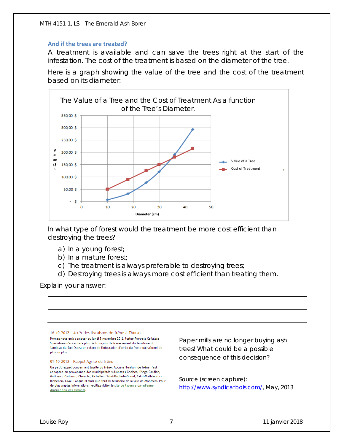#### **And if the trees are treated?**

A treatment is available and can save the trees right at the start of the infestation. The cost of the treatment is based on the diameter of the tree.

Here is a graph showing the value of the tree and the cost of the treatment based on its diameter:



In what type of forest would the treatment be more cost efficient than destroying the trees?

- a) In a young forest;
- b) In a mature forest;
- c) The treatment is always preferable to destroying trees;
- d) Destroying trees is always more cost efficient than treating them.

Explain your answer:

#### 16-10-2012 - Arrêt des livraisons de frêne à Thurso

Prenez note qu'à compter du lundi 5 novembre 2012, l'usine Fortress Cellulose Spécialisée n'acceptera plus de tronçons de frêne venant du territoire du Syndicat du Sud-Ouest en raison de l'infestation d'agrile du frêne qui s'étend de plus en plus.

01-10-2012 - Rappel Agrile du frêne

Un petit rappel concernant l'agrile du frêne. Aucune livraison de frêne n'est acceptée en provenance des municipalités suivantes : Chelsea, l'Ange-Gardien, Gatineau, Carignan, Chambly, Richelieu, Saint-Basile-le-Grand, Saint-Mathias-sur-Richelieu, Laval, Longueuil ainsi que tout le territoire de la ville de Montréal. Pour de plus amples informations, veuillez visiter le site de l'agence canadienne d'inspection des aliments.

Paper mills are no longer buying ash trees! What could be a possible consequence of this decision?

\_\_\_\_\_\_\_\_\_\_\_\_\_\_\_\_\_\_\_\_\_\_\_\_\_\_\_\_\_\_\_\_\_\_\_\_\_\_\_\_

Source (screen capture): [http://www.syndicatbois.com/,](http://www.syndicatbois.com/) May, 2013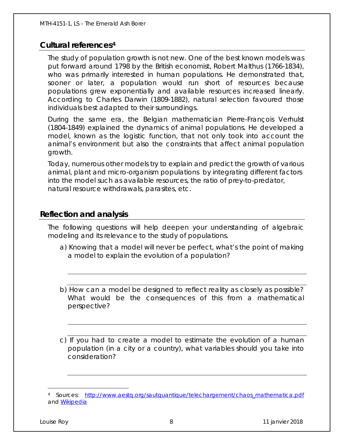# **Cultural references[4](#page-7-0)**

The study of population growth is not new. One of the best known models was put forward around 1798 by the British economist, *Robert Malthus* (1766-1834), who was primarily interested in human populations. He demonstrated that, sooner or later, a population would run short of resources because populations grew exponentially and available resources increased linearly. According to *Charles Darwin (1809-1882),* natural selection favoured those individuals best adapted to their surroundings.

During the same era, the Belgian mathematician *Pierre-François Verhulst* (1804-1849) explained the dynamics of animal populations. He developed a model, known as the *logistic function,* that not only took into account the animal's environment but also the constraints that affect animal population growth.

Today, numerous other models try to explain and predict the growth of various animal, plant and micro-organism populations by integrating different factors into the model such as available resources, the ratio of prey-to-predator, natural resource withdrawals, parasites, etc.

# **Reflection and analysis**

The following questions will help deepen your understanding of algebraic modeling and its relevance to the study of populations.

- a) Knowing that a model will never be perfect, what's the point of making a model to explain the evolution of a population?
- b) How can a model be designed to reflect reality as closely as possible? What would be the consequences of this from a mathematical perspective?
- c) If you had to create a model to estimate the evolution of a human population (in a city or a country), what variables should you take into consideration?

<span id="page-7-0"></span> <sup>4</sup> Sources: [http://www.aestq.org/sautquantique/telechargement/chaos\\_mathematica.pdf](http://www.aestq.org/sautquantique/telechargement/chaos_mathematica.pdf) and [Wikipedia](https://fr.wikipedia.org/wiki/Wikip%C3%A9dia:Accueil_principal)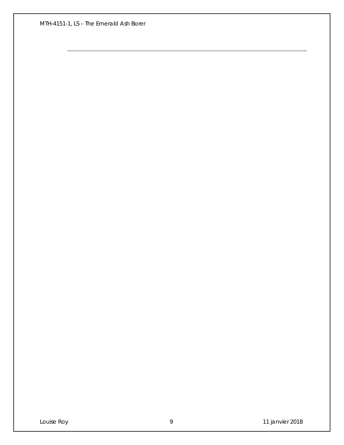MTH-4151-1, LS – The Emerald Ash Borer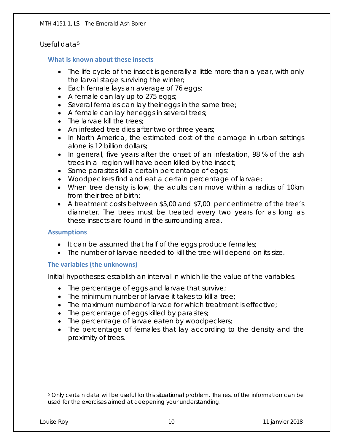MTH-4151-1, LS – The Emerald Ash Borer

#### Useful data[5](#page-9-0)

#### **What is known about these insects**

- The life cycle of the insect is generally a little more than a year, with only the larval stage surviving the winter;
- Each female lays an average of 76 eggs;
- A female can lay up to 275 eggs;
- Several females can lay their eggs in the same tree;
- A female can lay her eggs in several trees;
- The larvae kill the trees:
- An infested tree dies after two or three years;
- In North America, the estimated cost of the damage in urban settings alone is 12 billion dollars;
- In general, five years after the onset of an infestation, 98 % of the ash trees in a region will have been killed by the insect;
- Some parasites kill a certain percentage of eggs;
- Woodpeckers find and eat a certain percentage of larvae;
- When tree density is low, the adults can move within a radius of 10km from their tree of birth;
- A treatment costs between \$5,00 and \$7,00 per centimetre of the tree's diameter. The trees must be treated every two years for as long as these insects are found in the surrounding area.

#### **Assumptions**

- It can be assumed that half of the eggs produce females;
- The number of larvae needed to kill the tree will depend on its size.

#### **The variables (the unknowns)**

Initial hypotheses: establish an interval in which lie the value of the variables.

- The percentage of eggs and larvae that survive;
- The minimum number of larvae it takes to kill a tree;
- The maximum number of larvae for which treatment is effective;
- The percentage of eggs killed by parasites;
- The percentage of larvae eaten by woodpeckers;
- The percentage of females that lay according to the density and the proximity of trees.

<span id="page-9-0"></span> <sup>5</sup> Only certain data will be useful for this situational problem. The rest of the information can be used for the exercises aimed at deepening your understanding.